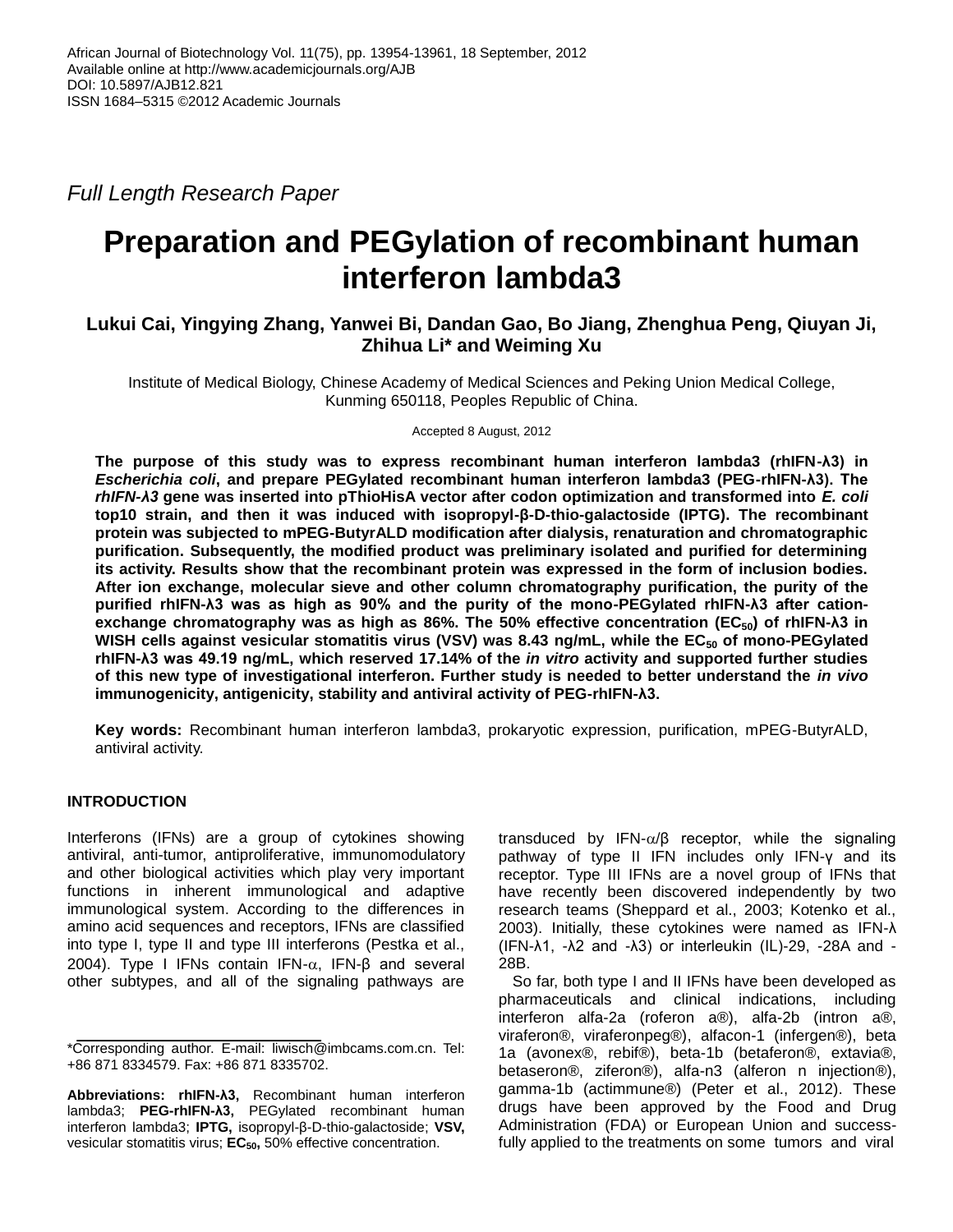*Full Length Research Paper*

# **Preparation and PEGylation of recombinant human interferon lambda3**

## **Lukui Cai, Yingying Zhang, Yanwei Bi, Dandan Gao, Bo Jiang, Zhenghua Peng, Qiuyan Ji, Zhihua Li\* and Weiming Xu**

Institute of Medical Biology, Chinese Academy of Medical Sciences and Peking Union Medical College, Kunming 650118, Peoples Republic of China.

Accepted 8 August, 2012

**The purpose of this study was to express recombinant human interferon lambda3 (rhIFN-λ3) in**  *Escherichia coli***, and prepare PEGylated recombinant human interferon lambda3 (PEG-rhIFN-λ3). The**  *rhIFN-λ3* **gene was inserted into pThioHisA vector after codon optimization and transformed into** *E. coli* **top10 strain, and then it was induced with isopropyl-β-D-thio-galactoside (IPTG). The recombinant protein was subjected to mPEG-ButyrALD modification after dialysis, renaturation and chromatographic purification. Subsequently, the modified product was preliminary isolated and purified for determining its activity. Results show that the recombinant protein was expressed in the form of inclusion bodies. After ion exchange, molecular sieve and other column chromatography purification, the purity of the purified rhIFN-λ3 was as high as 90% and the purity of the mono-PEGylated rhIFN-λ3 after cationexchange chromatography was as high as 86%. The 50% effective concentration (EC50) of rhIFN-λ3 in**  WISH cells against vesicular stomatitis virus (VSV) was 8.43 ng/mL, while the EC<sub>50</sub> of mono-PEGylated **rhIFN-λ3 was 49.19 ng/mL, which reserved 17.14% of the** *in vitro* **activity and supported further studies of this new type of investigational interferon. Further study is needed to better understand the** *in vivo* **immunogenicity, antigenicity, stability and antiviral activity of PEG-rhIFN-λ3.**

**Key words:** Recombinant human interferon lambda3, prokaryotic expression, purification, mPEG-ButyrALD, antiviral activity.

## **INTRODUCTION**

Interferons (IFNs) are a group of cytokines showing antiviral, anti-tumor, antiproliferative, immunomodulatory and other biological activities which play very important functions in inherent immunological and adaptive immunological system. According to the differences in amino acid sequences and receptors, IFNs are classified into type I, type II and type III interferons (Pestka et al., 2004). Type I IFNs contain IFN- $\alpha$ , IFN-β and several other subtypes, and all of the signaling pathways are

**Abbreviations: rhIFN-λ3,** Recombinant human interferon lambda3; **PEG-rhIFN-λ3,** PEGylated recombinant human interferon lambda3; **IPTG,** isopropyl-β-D-thio-galactoside; **VSV,** vesicular stomatitis virus; **EC50,** 50% effective concentration.

transduced by IFN- $\alpha$ / $\beta$  receptor, while the signaling pathway of type II IFN includes only IFN-γ and its receptor. Type III IFNs are a novel group of IFNs that have recently been discovered independently by two research teams (Sheppard et al., 2003; Kotenko et al., 2003). Initially, these cytokines were named as IFN-λ (IFN-λ1, -λ2 and -λ3) or interleukin (IL)-29, -28A and - 28B.

So far, both type I and II IFNs have been developed as pharmaceuticals and clinical indications, including interferon alfa-2a (roferon a®), alfa-2b (intron a®, viraferon®, viraferonpeg®), alfacon-1 (infergen®), beta 1a [\(avonex®](http://v2.medch.cn/ForeignDrug/Info/2029), [rebif®](http://v2.medch.cn/ForeignDrug/Info/5625)), beta-1b [\(betaferon®](http://v2.medch.cn/ForeignDrug/Infor/404), [extavia®](http://v2.medch.cn/ForeignDrug/Infor/1422), [betaseron®](http://v2.medch.cn/ForeignDrug/Info/2154), ziferon®), alfa-n3 [\(alferon n injection®](http://v2.medch.cn/ForeignDrug/Infor/97)), gamma-1b [\(actimmune®](http://v2.medch.cn/ForeignDrug/Info/48)) (Peter et al., 2012). These drugs have been approved by the Food and Drug Administration (FDA) or European Union and successfully applied to the treatments on some tumors and viral

<sup>\*</sup>Corresponding author. E-mail: liwisch@imbcams.com.cn. Tel: +86 871 8334579. Fax: +86 871 8335702.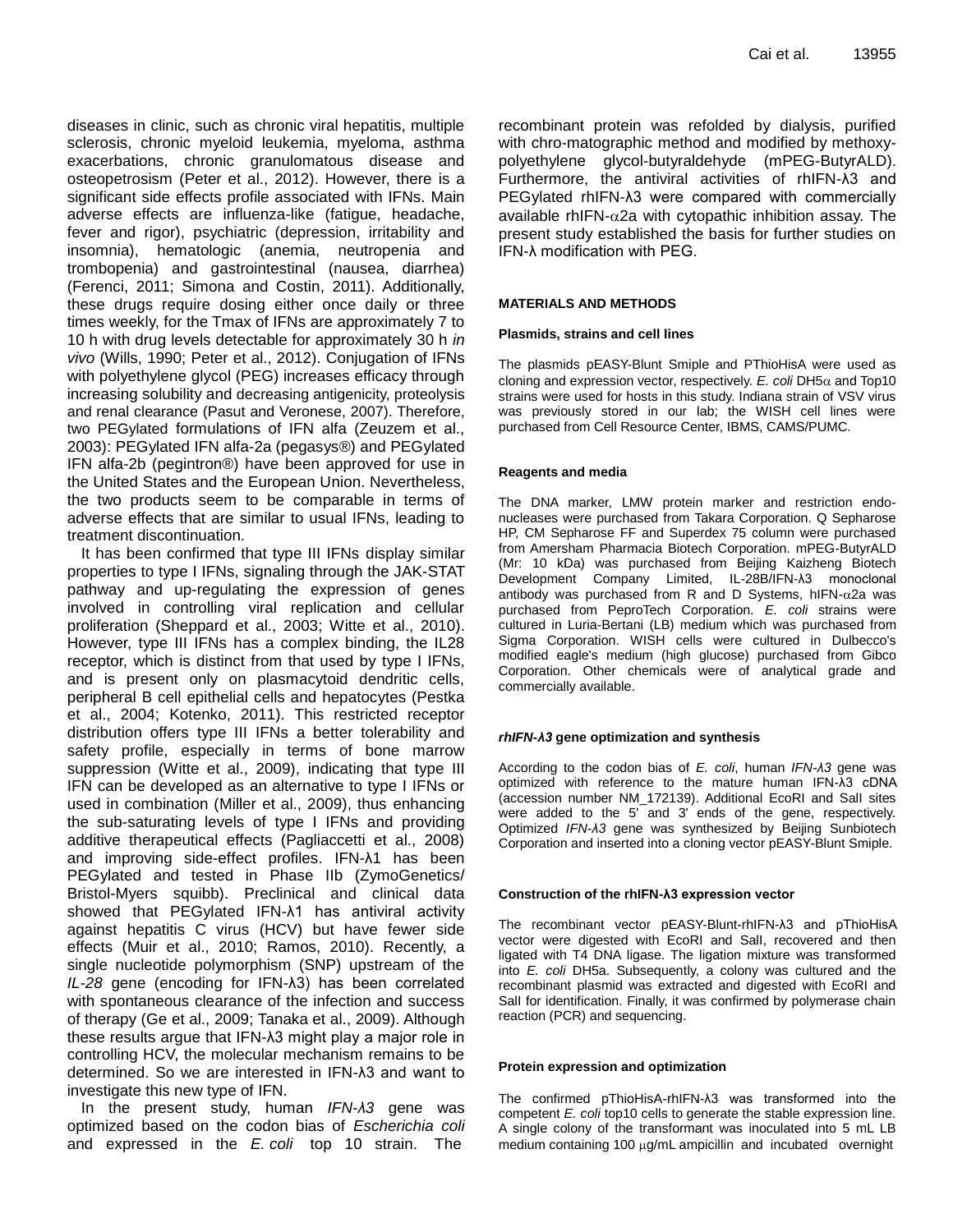diseases in clinic, such as chronic viral hepatitis, multiple sclerosis, chronic myeloid leukemia, myeloma, asthma exacerbations, chronic granulomatous disease and osteopetrosism (Peter et al., 2012). However, there is a significant side effects profile associated with IFNs. Main adverse effects are influenza-like (fatigue, headache, fever and rigor), psychiatric (depression, irritability and insomnia), hematologic (anemia, neutropenia and trombopenia) and gastrointestinal (nausea, diarrhea) (Ferenci, 2011; Simona and Costin, 2011). Additionally, these drugs require dosing either once daily or three times weekly, for the Tmax of IFNs are approximately 7 to 10 h with drug levels detectable for approximately 30 h *in vivo* (Wills, 1990; Peter et al., 2012). Conjugation of IFNs with polyethylene glycol (PEG) increases efficacy through increasing solubility and decreasing antigenicity, proteolysis and renal clearance (Pasut and Veronese, 2007). Therefore, two PEGylated formulations of IFN alfa (Zeuzem et al., 2003): PEGylated IFN alfa-2a [\(pegasys®](http://v2.medch.cn/ForeignDrug/Infor/4914)) and PEGylated IFN alfa-2b [\(pegintron®](http://v2.medch.cn/ForeignDrug/Info/4916)) have been approved for use in the United States and the European Union. Nevertheless, the two products seem to be comparable in terms of adverse effects that are similar to usual IFNs, leading to treatment discontinuation.

It has been confirmed that type III IFNs display similar properties to type I IFNs, signaling through the JAK-STAT pathway and up-regulating the expression of genes involved in controlling viral replication and cellular proliferation (Sheppard et al., 2003; Witte et al., 2010). However, type III IFNs has a complex binding, the IL28 receptor, which is distinct from that used by type I IFNs, and is present only on plasmacytoid dendritic cells, peripheral B cell epithelial cells and hepatocytes (Pestka et al., 2004; [Kotenko,](http://www.ncbi.nlm.nih.gov/pubmed?term=Kotenko%20SV%5BAuthor%5D&cauthor=true&cauthor_uid=21840693) 2011). This restricted receptor distribution offers type III IFNs a better tolerability and safety profile, especially in terms of bone marrow suppression (Witte et al., 2009), indicating that type III IFN can be developed as an alternative to type I IFNs or used in combination (Miller et al., 2009), thus enhancing the sub-saturating levels of type I IFNs and providing additive therapeutical effects (Pagliaccetti et al., 2008) and improving side-effect profiles. IFN-λ1 has been PEGylated and tested in Phase IIb (ZymoGenetics/ Bristol-Myers squibb). Preclinical and clinical data showed that PEGylated IFN-λ1 has antiviral activity against hepatitis C virus (HCV) but have fewer side effects (Muir et al., 2010; Ramos, 2010). Recently, a single nucleotide polymorphism (SNP) upstream of the *IL-28* gene (encoding for IFN-λ3) has been correlated with spontaneous clearance of the infection and success of therapy (Ge et al., 2009; Tanaka et al., 2009). Although these results argue that IFN-λ3 might play a major role in controlling HCV, the molecular mechanism remains to be determined. So we are interested in IFN-λ3 and want to investigate this new type of IFN.

In the present study, human *IFN-λ3* gene was [optimized](http://dict.cn/optimize) based on the codon bias of *Escherichia coli* and expressed in the *E. coli* top 10 strain. The

recombinant protein was refolded by dialysis, purified with chro-matographic method and modified by methoxypolyethylene glycol-butyraldehyde (mPEG-ButyrALD). Furthermore, the antiviral activities of rhIFN-λ3 and PEGylated rhIFN-λ3 were compared with commercially available rhIFN- $\alpha$ 2a with cytopathic inhibition assay. The present study established the basis for further studies on IFN-λ modification with PEG.

#### **MATERIALS AND METHODS**

#### **Plasmids, strains and cell lines**

The plasmids pEASY-Blunt Smiple and PThioHisA were used as cloning and expression vector, respectively.  $E$ . coli DH5 $\alpha$  and Top10 strains were used for hosts in this study. Indiana strain of VSV virus was previously stored in our lab; the WISH cell lines were purchased from Cell Resource Center, IBMS, CAMS/PUMC.

#### **Reagents and media**

The DNA marker, LMW protein marker and restriction endonucleases were purchased from Takara Corporation. Q Sepharose HP, CM Sepharose FF and Superdex 75 column were purchased from Amersham Pharmacia Biotech Corporation. mPEG-ButyrALD (Mr: 10 kDa) was purchased from Beijing Kaizheng Biotech Development Company Limited, IL-28B/IFN-λ3 monoclonal antibody was purchased from R and D Systems,  $h$ IFN- $\alpha$ 2a was purchased from PeproTech Corporation. *E. coli* strains were cultured in Luria-Bertani (LB) medium which was purchased from Sigma Corporation. WISH cells were cultured in Dulbecco's modified eagle's medium (high [glucose\)](http://www.iciba.com/glucose/) purchased from Gibco Corporation. Other chemicals were of analytical grade and commercially available.

#### *rhIFN-λ3* **gen[e optimization](http://dict.cn/optimize) and synthesis**

According to the codon bias of *E. coli*, human *IFN-λ3* gene was [optimized](http://dict.cn/optimize) with reference to the mature human IFN-λ3 cDNA (accession number NM\_172139). Additional EcoRI and SalI sites were added to the 5' and 3' ends of the gene, respectively. Optimized *IFN-λ3* gene was synthesized by Beijing Sunbiotech Corporation and inserted into a cloning vector pEASY-Blunt Smiple.

#### **Construction of the rhIFN-λ3 expression vector**

The recombinant vector pEASY-Blunt-rhIFN-λ3 and pThioHisA vector were digested with EcoRI and SalI, recovered and then ligated with T4 DNA ligase. The ligation mixture was transformed into *E. coli* DH5a. Subsequently, a colony was cultured and the recombinant plasmid was extracted and digested with EcoRI and SalI for identification. Finally, it was confirmed by polymerase chain reaction (PCR) and sequencing.

#### **Protein expression and optimization**

The confirmed pThioHisA-rhIFN-λ3 was transformed into the competent *E. coli* top10 cells to generate the stable expression line. A single colony of the transformant was inoculated into 5 mL LB medium containing 100 µg/mL ampicillin and incubated overnight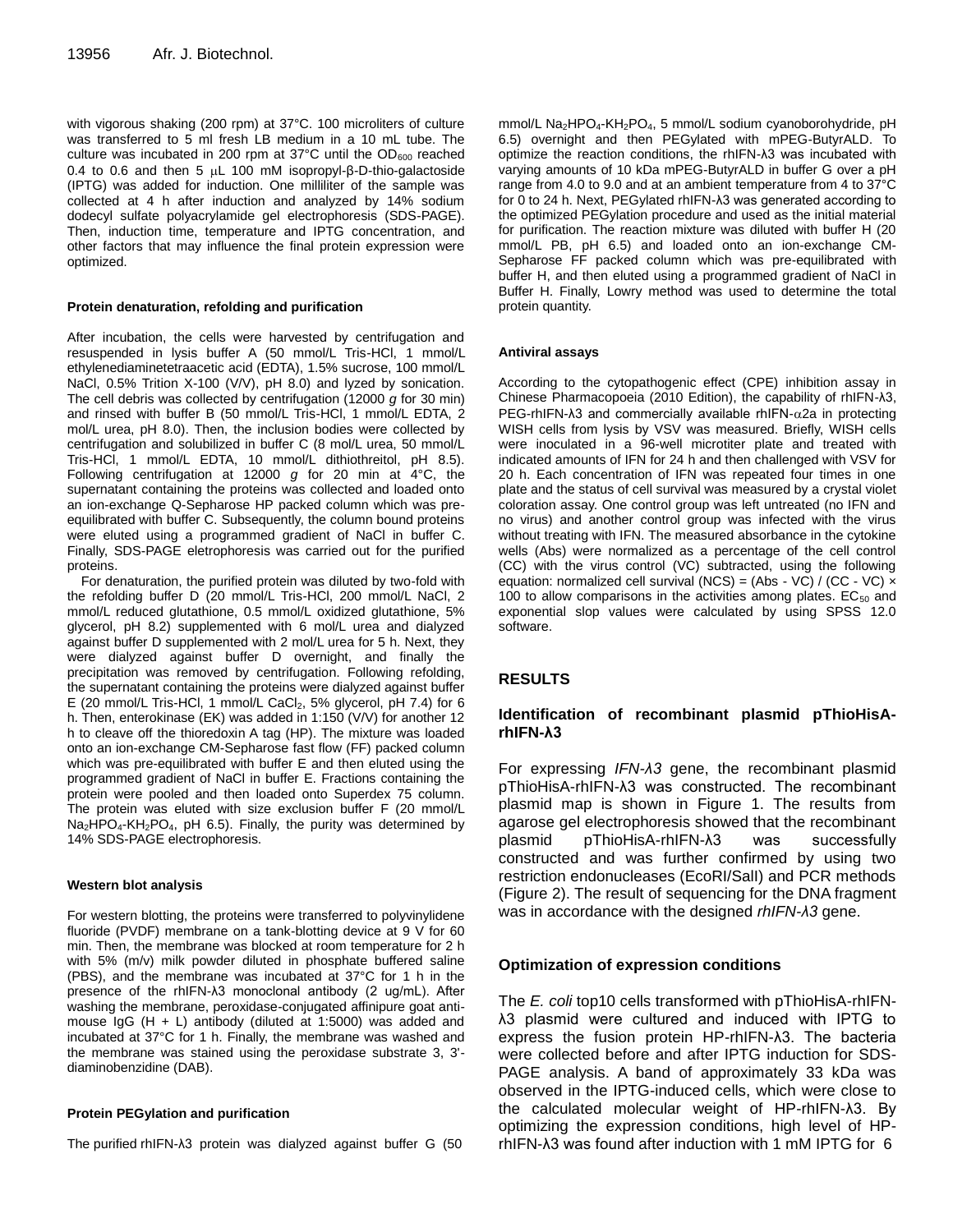with vigorous shaking (200 rpm) at 37°C. 100 microliters of culture was transferred to 5 ml fresh LB medium in a 10 mL tube. The culture was incubated in 200 rpm at 37 $\degree$ C until the OD<sub>600</sub> reached 0.4 to 0.6 and then 5 μL 100 mM isopropyl-β-D-thio-galactoside (IPTG) was added for induction. One milliliter of the sample was collected at 4 h after induction and analyzed by 14% sodium dodecyl sulfate polyacrylamide gel electrophoresis (SDS-PAGE). Then, induction time, temperature and IPTG concentration, and other factors that may influence the final protein expression were optimized.

#### **Protein denaturation, refolding and purification**

After incubation, the cells were harvested by centrifugation and resuspended in lysis buffer A (50 mmol/L Tris-HCl, 1 mmol/L ethylenediaminetetraacetic acid (EDTA), 1.5% sucrose, 100 mmol/L NaCl, 0.5% Trition X-100 (V/V), pH 8.0) and lyzed by sonication. The cell debris was collected by centrifugation (12000 *g* for 30 min) and rinsed with buffer B (50 mmol/L Tris-HCl, 1 mmol/L EDTA, 2 mol/L urea, pH 8.0). Then, the inclusion bodies were collected by centrifugation and solubilized in buffer C (8 mol/L urea, 50 mmol/L Tris-HCl, 1 mmol/L EDTA, 10 mmol/L dithiothreitol, pH 8.5). Following centrifugation at 12000 *g* for 20 min at 4°C, the supernatant containing the proteins was collected and loaded onto an ion-exchange Q-Sepharose HP packed column which was preequilibrated with buffer C. Subsequently, the column bound proteins were eluted using a programmed gradient of NaCl in buffer C. Finally, SDS-PAGE eletrophoresis was carried out for the purified proteins.

For denaturation, the purified protein was diluted by two-fold with the refolding buffer D (20 mmol/L Tris-HCl, 200 mmol/L NaCl, 2 mmol/L reduced glutathione, 0.5 mmol/L oxidized glutathione, 5% glycerol, pH 8.2) supplemented with 6 mol/L urea and dialyzed against buffer D supplemented with 2 mol/L urea for 5 h. Next, they were dialyzed against buffer D overnight, and finally the precipitation was removed by centrifugation. Following refolding, the supernatant containing the proteins were dialyzed against buffer E (20 mmol/L Tris-HCl, 1 mmol/L CaCl<sub>2</sub>, 5% glycerol, pH 7.4) for 6 h. Then, enterokinase (EK) was added in 1:150 (V/V) for another 12 h to cleave off the thioredoxin A tag (HP). The mixture was loaded onto an ion-exchange CM-Sepharose fast flow (FF) packed column which was pre-equilibrated with buffer E and then eluted using the programmed gradient of NaCl in buffer E. Fractions containing the protein were pooled and then loaded onto Superdex 75 column. The protein was eluted with size exclusion buffer F (20 mmol/L  $Na<sub>2</sub>HPO<sub>4</sub>$ -KH<sub>2</sub>PO<sub>4</sub>, pH 6.5). Finally, the purity was determined by 14% SDS-PAGE electrophoresis.

#### **Western blot analysis**

For western blotting, the proteins were transferred to polyvinylidene fluoride (PVDF) membrane on a tank-blotting device at 9 V for 60 min. Then, the membrane was blocked at room temperature for 2 h with 5% (m/v) milk powder diluted in phosphate buffered saline (PBS), and the membrane was incubated at 37°C for 1 h in the presence of the rhIFN-λ3 monoclonal antibody (2 ug/mL). After washing the membrane, peroxidase-conjugated affinipure goat antimouse IgG  $(H + L)$  antibody (diluted at 1:5000) was added and incubated at 37°C for 1 h. Finally, the membrane was washed and the membrane was stained using the peroxidase substrate 3, 3' diaminobenzidine (DAB).

#### **Protein PEGylation and purification**

The purified rhIFN-λ3 protein was dialyzed against buffer G (50

mmol/L Na<sub>2</sub>HPO<sub>4</sub>-KH<sub>2</sub>PO<sub>4</sub>, 5 mmol/L sodium cyanoborohydride, pH 6.5) overnight and then PEGylated with mPEG-ButyrALD. To optimize the reaction conditions, the rhIFN-λ3 was incubated with varying amounts of 10 kDa mPEG-ButyrALD in buffer G over a pH range from 4.0 to 9.0 and at an ambient temperature from 4 to 37°C for 0 to 24 h. Next, PEGylated rhIFN-λ3 was generated according to the optimized PEGylation procedure and used as the initial material for purification. The reaction mixture was diluted with buffer H (20 mmol/L PB, pH 6.5) and loaded onto an ion-exchange CM-Sepharose FF packed column which was pre-equilibrated with buffer H, and then eluted using a programmed gradient of NaCl in Buffer H. Finally, [Lowry](http://www.iciba.com/lowry/) method was used to [determine](http://www.iciba.com/determine/) the total protein quantity.

#### **Antiviral assays**

According to the cytopathogenic effect (CPE) [inhibition](http://www.iciba.com/inhibition/) assay in Chinese Pharmacopoeia (2010 Edition), the capability of rhIFN-λ3, PEG-rhIFN- $\lambda$ 3 and commercially available rhIFN- $\alpha$ 2a in protecting WISH cells from lysis by VSV was measured. Briefly, WISH cells were inoculated in a 96-well microtiter plate and treated with indicated amounts of IFN for 24 h and then challenged with VSV for 20 h. Each concentration of IFN was repeated four times in one plate and the status of cell survival was measured by a [crystal](http://www.iciba.com/crystal/) [violet](http://www.iciba.com/violet/) coloration assay. One control group was left untreated (no IFN and no virus) and another control group was infected with the virus without treating with IFN. The measured absorbance in the cytokine wells (Abs) were normalized as a percentage of the cell control (CC) with the virus control (VC) subtracted, using the following equation: normalized cell survival (NCS) = (Abs - VC) / (CC - VC)  $\times$ 100 to allow comparisons in the activities among plates.  $EC_{50}$  and exponential slop values were calculated by using SPSS 12.0 software.

## **RESULTS**

## **Identification of recombinant plasmid pThioHisArhIFN-λ3**

For expressing *IFN-λ3* gene, the recombinant plasmid pThioHisA-rhIFN-λ3 was constructed. The recombinant plasmid map is shown in Figure 1. The results from agarose gel electrophoresis showed that the recombinant plasmid pThioHisA-rhIFN-λ3 was successfully constructed and was further confirmed by using two restriction endonucleases (EcoRI/SalI) and PCR methods (Figure 2). The [result](http://www.iciba.com/result/) of sequencing for the DNA fragment was in accordance [with](http://www.iciba.com/with/) the designed *rhIFN-λ3* gene.

## **Optimization of expression conditions**

The *E. coli* top10 cells transformed with pThioHisA-rhIFNλ3 plasmid were cultured and induced with IPTG to express the fusion protein HP-rhIFN-λ3. The bacteria were collected before and after IPTG induction for SDS-PAGE analysis. A band of approximately 33 kDa was observed in the IPTG-induced cells, which were close to the calculated molecular weight of HP-rhIFN-λ3. By optimizing the [expression](http://www.iciba.com/expression/) conditions, high level of HPrhIFN-λ3 was found after induction with 1 mM IPTG for 6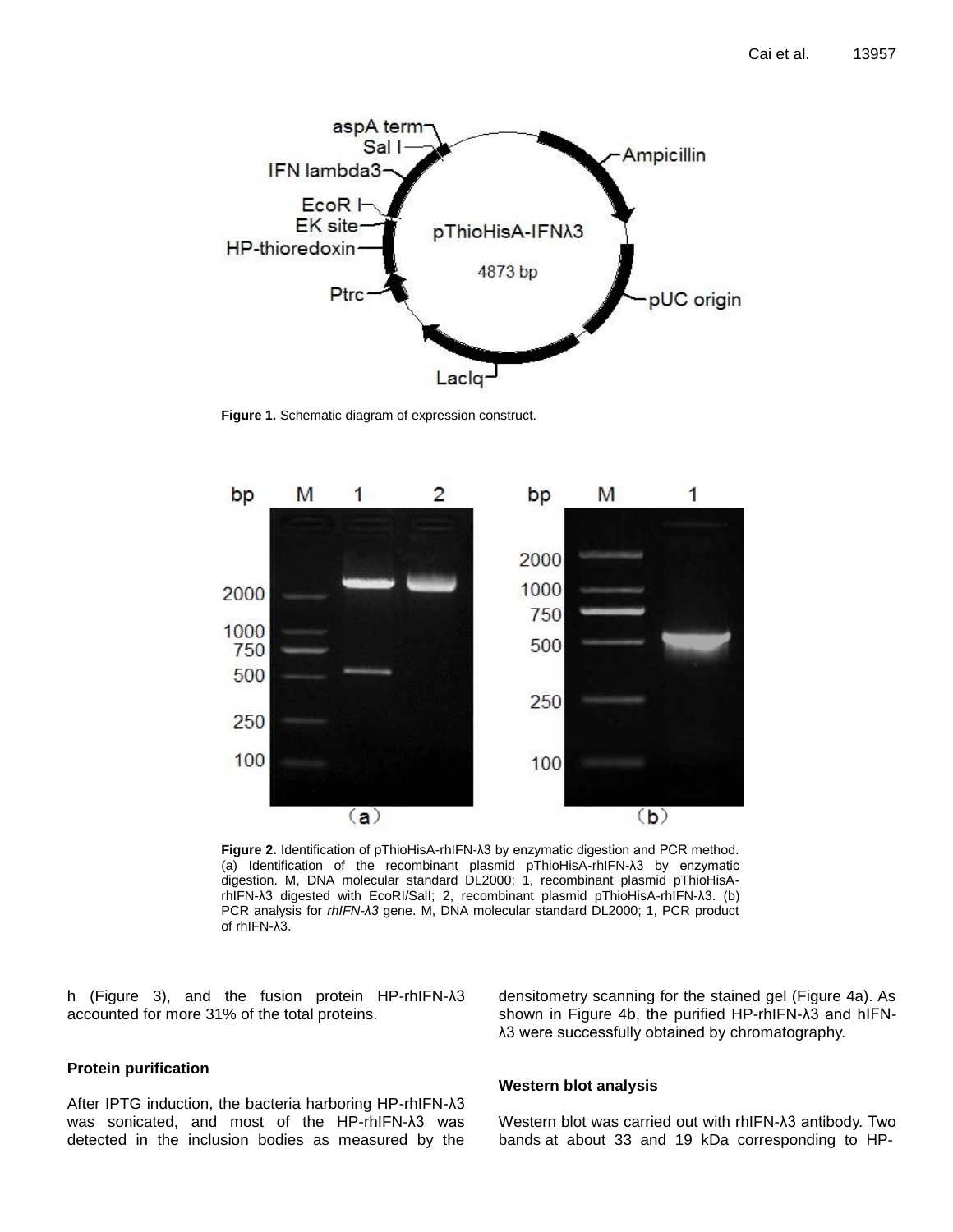

**Figure 1.** Schematic diagram of expression construct.



**Figure 2.** Identification of pThioHisA-rhIFN-λ3 by enzymatic digestion and PCR method. (a) Identification of the recombinant plasmid pThioHisA-rhIFN-λ3 by enzymatic digestion. M, DNA molecular standard DL2000; 1, recombinant plasmid pThioHisArhIFN-λ3 digested with EcoRI/SalI; 2, recombinant plasmid pThioHisA-rhIFN-λ3. (b) PCR analysis for *rhIFN-λ3* gene. M, DNA molecular standard DL2000; 1, PCR product of rhIFN-λ3.

h (Figure 3), and the fusion protein HP-rhIFN-λ3 accounted for more 31% of the total proteins.

densitometry scanning for the stained gel (Figure 4a). As shown in Figure 4b, the purified HP-rhIFN-λ3 and hIFNλ3 were successfully obtained by chromatography.

## **Protein purification**

After IPTG induction, the bacteria harboring HP-rhIFN-λ3 was sonicated, and most of the HP-rhIFN-λ3 was detected in the inclusion bodies as measured by the

## **Western blot analysis**

Western blot was carried out with rhIFN-λ3 antibody. Two bands at about 33 and 19 kDa corresponding to HP-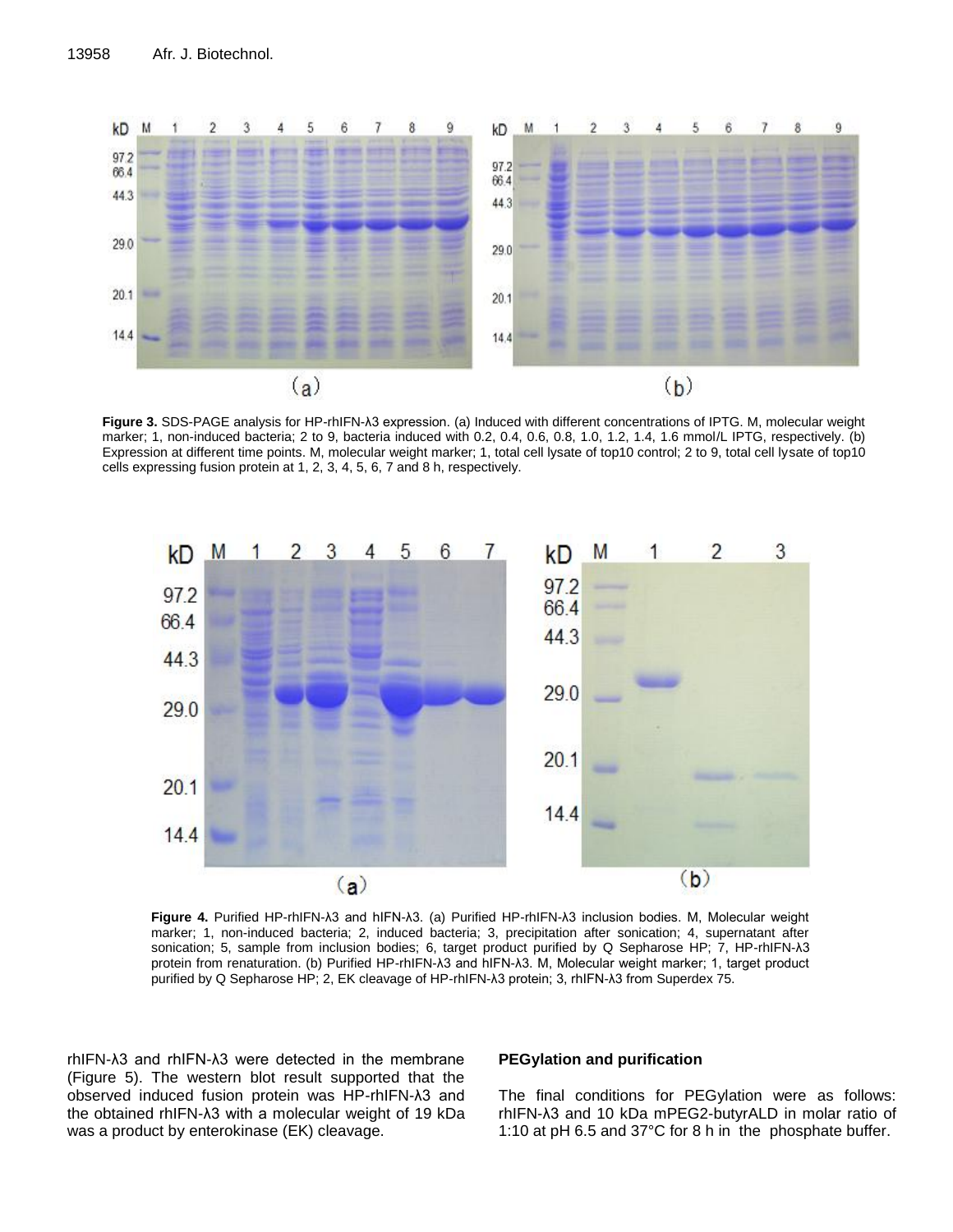

**Figure 3.** SDS-PAGE analysis for HP-rhIFN-λ3 expression. (a) Induced with different concentrations of IPTG. M, molecular weight marker; 1, non-induced bacteria; 2 to 9, bacteria induced with 0.2, 0.4, 0.6, 0.8, 1.0, 1.2, 1.4, 1.6 mmol/L IPTG, respectively. (b) Expression at different time points. M, molecular weight marker; 1, total cell lysate of top10 control; 2 to 9, total cell lysate of top10 cells expressing fusion protein at 1, 2, 3, 4, 5, 6, 7 and 8 h, respectively.



**Figure 4.** Purified HP-rhIFN-λ3 and hIFN-λ3. (a) Purified HP-rhIFN-λ3 inclusion bodies. M, Molecular weight marker; 1, non-induced bacteria; 2, induced bacteria; 3, precipitation after sonication; 4, supernatant after sonication; 5, sample from inclusion bodies; 6, target product purified by Q Sepharose HP; 7, HP-rhIFN-λ3 protein from renaturation. (b) Purified HP-rhIFN-λ3 and hIFN-λ3. M, Molecular weight marker; 1, target product purified by Q Sepharose HP; 2, EK cleavage of HP-rhIFN-λ3 protein; 3, rhIFN-λ3 from Superdex 75.

rhIFN-λ3 and rhIFN-λ3 were detected in the membrane (Figure 5). The western blot result supported that the observed induced fusion protein was HP-rhIFN-λ3 and the obtained rhIFN-λ3 with a [molecular](http://www.iciba.com/molecular/) weight of 19 kDa was a product by enterokinase (EK) cleavage.

## **PEGylation and purification**

The final conditions for PEGylation were as follows: rhIFN-λ3 and 10 kDa mPEG2-butyrALD in molar ratio of 1:10 at pH 6.5 and 37°C for 8 h in the phosphate buffer.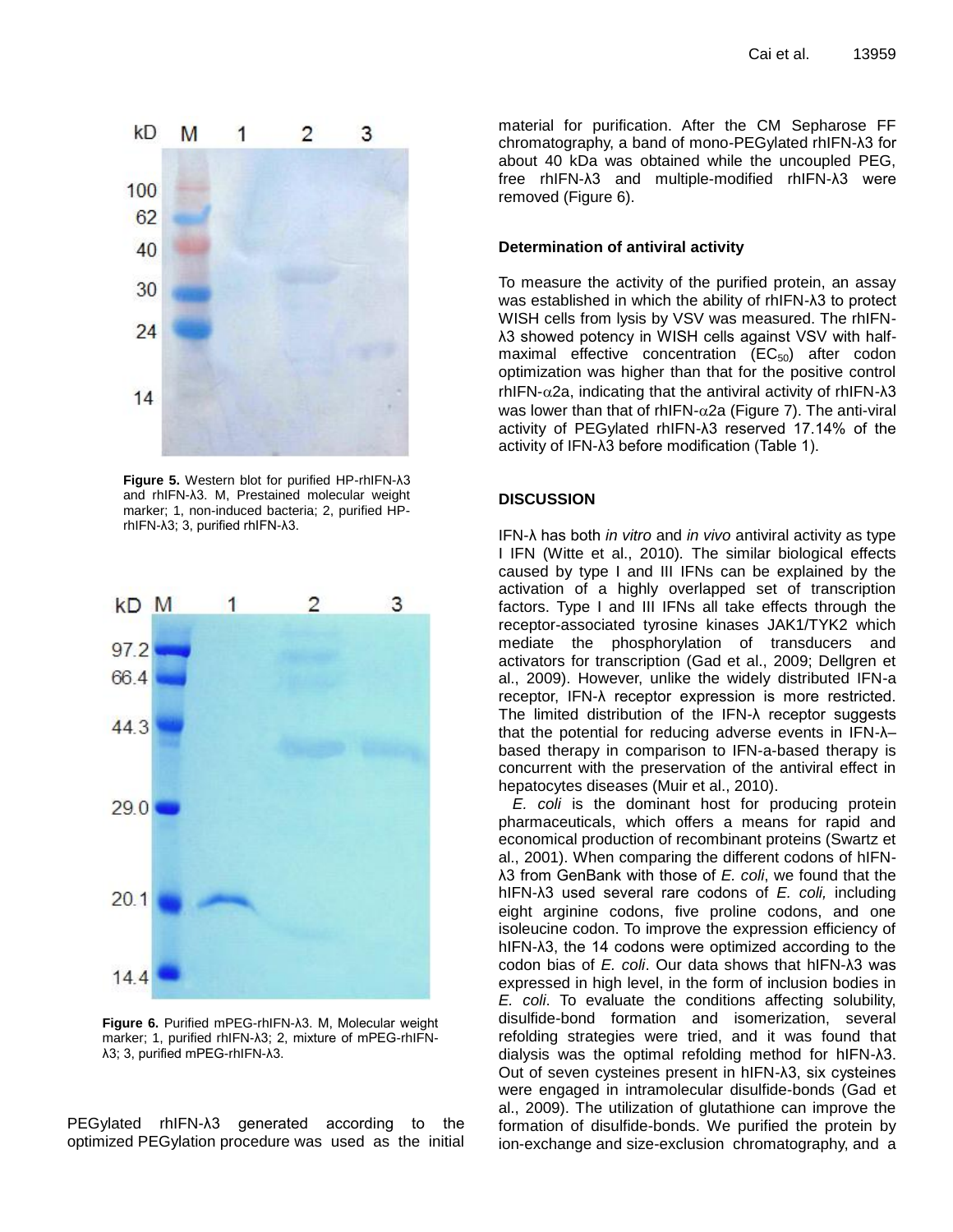

**Figure 5.** Western blot for purified HP-rhIFN-λ3 and rhIFN-λ3. M, Prestained molecular weight marker; 1, non-induced bacteria; 2, purified HPrhIFN-λ3; 3, purified rhIFN-λ3.



**Figure 6.** Purified mPEG-rhIFN-λ3. M, Molecular weight marker; 1, purified rhIFN-λ3; 2, mixture of mPEG-rhIFNλ3; 3, purified mPEG-rhIFN-λ3.

PEGylated rhIFN-λ3 generated according to the optimized PEGylation procedure was used as the initial

material for purification. After the CM Sepharose FF chromatography, a band of mono-PEGylated rhIFN-λ3 for about 40 kDa was obtained while the uncoupled PEG, free rhIFN-λ3 and multiple-modified rhIFN-λ3 were removed (Figure 6).

#### **Determination of antiviral activity**

To measure the activity of the purified protein, an assay was established in which the ability of rhIFN-λ3 to protect WISH cells from lysis by VSV was measured. The rhIFNλ3 showed potency in WISH cells against VSV with halfmaximal effective concentration  $(EC_{50})$  after codon optimization was higher than that for the positive control  $rhIFN-\alpha$ 2a, indicating that the antiviral activity of rhIFN- $λ3$ was lower than that of rhIFN- $\alpha$ 2a (Figure 7). The anti-viral activity of PEGylated rhIFN-λ3 reserved 17.14% of the activity of IFN-λ3 before modification (Table 1).

#### **DISCUSSION**

IFN-λ has both *in vitro* and *in vivo* antiviral activity as type I IFN (Witte et al., 2010)*.* The similar biological effects caused by type I and III IFNs can be explained by the activation of a highly overlapped set of transcription factors. Type I and III IFNs all take effects through the receptor-associated tyrosine kinases JAK1/TYK2 which mediate the phosphorylation of transducers and activators for transcription (Gad et al., 2009; Dellgren et al., 2009). However, unlike the widely distributed IFN-a receptor, IFN-λ receptor expression is more restricted. The limited distribution of the IFN-λ receptor suggests that the potential for reducing adverse events in IFN-λ– based therapy in comparison to IFN-a-based therapy is concurrent with the preservation of the antiviral effect in hepatocytes diseases (Muir et al., 2010).

*E. coli* is the dominant host for producing protein pharmaceuticals, which offers a means for rapid and economical production of recombinant proteins (Swartz et al., 2001). When comparing the different codons of hIFNλ3 from GenBank with those of *E. coli*, we found that the hIFN-λ3 used several rare codons of *E. coli,* including eight arginine codons, five proline codons, and one isoleucine codon. To improve the expression efficiency of hIFN-λ3, the 14 codons were optimized according to the codon bias of *E. coli*. Our data shows that hIFN-λ3 was expressed in high level, in the form of inclusion bodies in *E. coli*. To evaluate the conditions affecting solubility, disulfide-bond formation and isomerization, several refolding strategies were tried, and it was found that dialysis was the optimal refolding method for hIFN-λ3. Out of seven cysteines present in hIFN-λ3, six cysteines were engaged in intramolecular disulfide-bonds (Gad et al., 2009). The utilization of glutathione can improve the formation of disulfide-bonds. We purified the protein by ion-exchange and size-exclusion chromatography, and a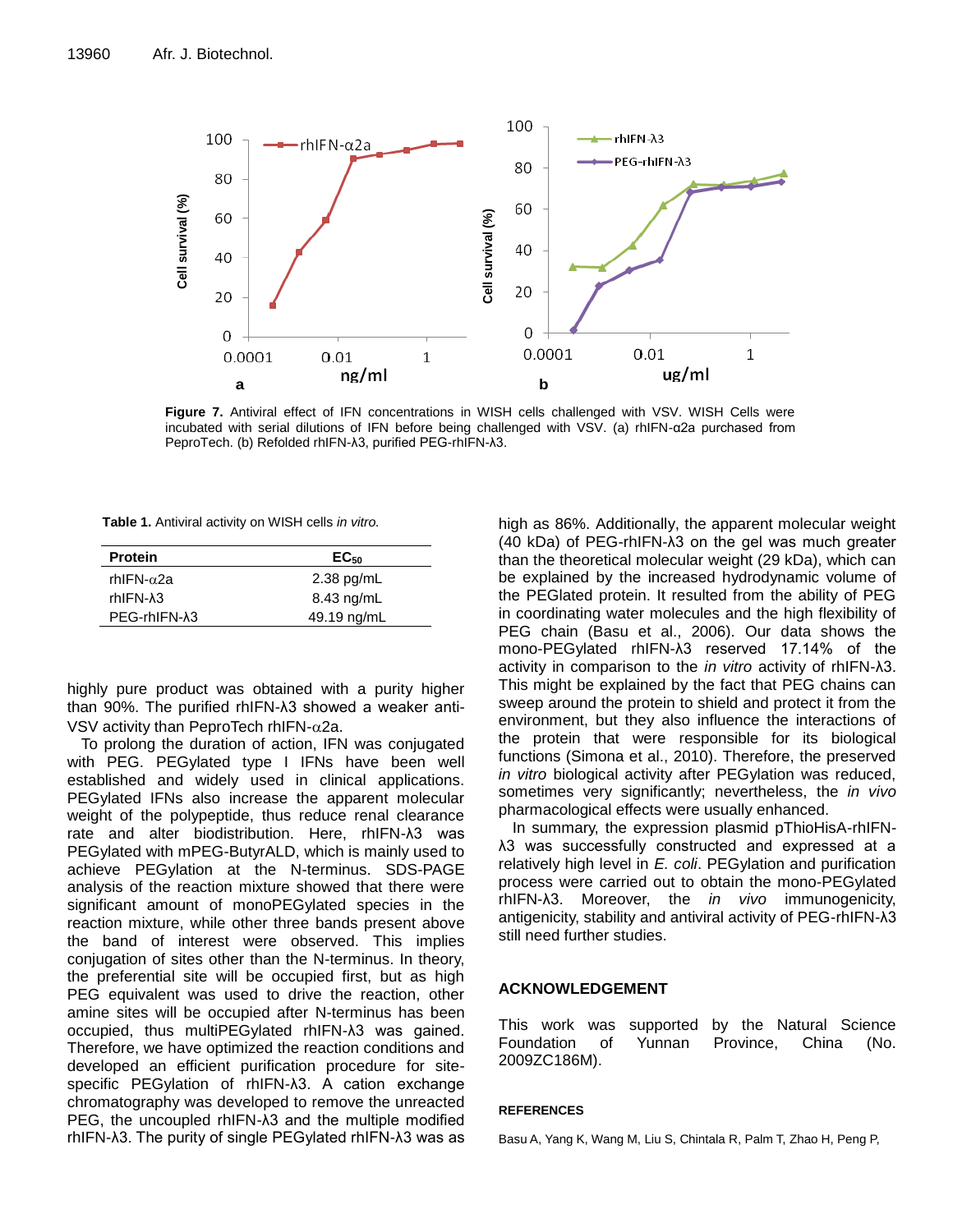

**Figure 7.** Antiviral effect of IFN concentrations in WISH cells challenged with VSV. WISH Cells were incubated with serial dilutions of IFN before being challenged with VSV. (a) rhIFN-α2a purchased from PeproTech. (b) Refolded rhIFN-λ3, purified PEG-rhIFN-λ3.

**Table 1.** Antiviral activity on WISH cells *in vitro.*

| <b>Protein</b>         | $EC_{50}$    |
|------------------------|--------------|
| rhIFN-α2a              | $2.38$ pg/mL |
| rhIFN- $\lambda$ 3     | $8.43$ ng/mL |
| PEG-rhIFN- $\lambda$ 3 | 49.19 ng/mL  |

highly pure product was obtained with a purity higher than 90%. The purified rhIFN-λ3 showed a weaker anti-VSV activity than PeproTech rhIFN- $\alpha$ 2a.

To prolong the duration of action, IFN was conjugated with PEG. PEGylated type I IFNs have been well established and widely used in clinical applications. PEGylated IFNs also increase the apparent molecular weight of the polypeptide, thus reduce renal clearance rate and alter biodistribution. Here, rhIFN-λ3 was PEGylated with mPEG-ButyrALD, which is mainly used to achieve PEGylation at the N-terminus. SDS-PAGE analysis of the reaction mixture showed that there were significant amount of monoPEGylated species in the reaction mixture, while other three bands present above the band of interest were observed. This implies conjugation of sites other than the N-terminus. In theory, the preferential site will be occupied first, but as high PEG equivalent was used to drive the reaction, other amine sites will be occupied after N-terminus has been occupied, thus multiPEGylated rhIFN-λ3 was gained. Therefore, we have optimized the reaction conditions and developed an efficient purification procedure for sitespecific PEGylation of rhIFN-λ3. A cation exchange chromatography was developed to remove the unreacted PEG, the uncoupled rhIFN-λ3 and the multiple modified rhIFN-λ3. The purity of single PEGylated rhIFN-λ3 was as

high as 86%. Additionally, the apparent molecular weight (40 kDa) of PEG-rhIFN-λ3 on the gel was much greater than the theoretical molecular weight (29 kDa), which can be explained by the increased hydrodynamic volume of the PEGlated protein. It resulted from the ability of PEG in coordinating water molecules and the high flexibility of PEG chain (Basu et al., 2006). Our data shows the mono-PEGylated rhIFN-λ3 reserved 17.14% of the activity in comparison to the *in vitro* activity of rhIFN-λ3. This might be explained by the fact that PEG chains can sweep around the protein to shield and protect it from the environment, but they also influence the interactions of the protein that were responsible for its biological functions (Simona et al., 2010). Therefore, the preserved *in vitro* biological activity after PEGylation was reduced, sometimes very significantly; nevertheless, the *in vivo*  pharmacological effects were usually enhanced.

In summary, the expression plasmid pThioHisA-rhIFNλ3 was successfully constructed and expressed at a relatively high level in *E. coli*. PEGylation and purification process were carried out to obtain the mono-PEGylated rhIFN-λ3. Moreover, the *in vivo* immunogenicity, antigenicity, stability and antiviral activity of PEG-rhIFN-λ3 still need further studies.

## **ACKNOWLEDGEMENT**

This work was supported by the Natural Science Foundation of Yunnan Province, China (No. 2009ZC186M).

## **REFERENCES**

Basu A, Yang K, Wang M, Liu S, Chintala R, Palm T, Zhao H, Peng P,